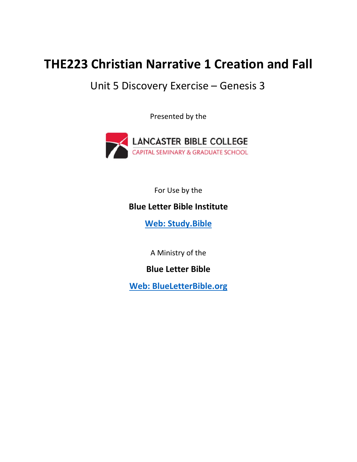# **THE223 Christian Narrative 1 Creation and Fall**

## Unit 5 Discovery Exercise – Genesis 3

Presented by the



For Use by the

### **Blue Letter Bible Institute**

 **[Web: Study.Bible](https://study.bible/welcome/)**

A Ministry of the

### **Blue Letter Bible**

**[Web: BlueLetterBible.org](https://www.blueletterbible.org)**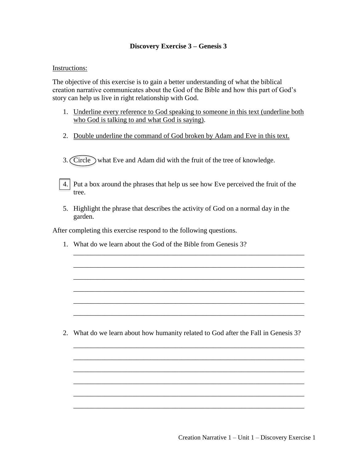### **Discovery Exercise 3 – Genesis 3**

#### Instructions:

The objective of this exercise is to gain a better understanding of what the biblical creation narrative communicates about the God of the Bible and how this part of God's story can help us live in right relationship with God.

- 1. Underline every reference to God speaking to someone in this text (underline both who God is talking to and what God is saying).
- 2. Double underline the command of God broken by Adam and Eve in this text.

3. Circle what Eve and Adam did with the fruit of the tree of knowledge.

4. Put a box around the phrases that help us see how Eve perceived the fruit of the tree.

5. Highlight the phrase that describes the activity of God on a normal day in the garden.

\_\_\_\_\_\_\_\_\_\_\_\_\_\_\_\_\_\_\_\_\_\_\_\_\_\_\_\_\_\_\_\_\_\_\_\_\_\_\_\_\_\_\_\_\_\_\_\_\_\_\_\_\_\_\_\_\_\_\_\_\_\_\_\_\_\_

\_\_\_\_\_\_\_\_\_\_\_\_\_\_\_\_\_\_\_\_\_\_\_\_\_\_\_\_\_\_\_\_\_\_\_\_\_\_\_\_\_\_\_\_\_\_\_\_\_\_\_\_\_\_\_\_\_\_\_\_\_\_\_\_\_\_

\_\_\_\_\_\_\_\_\_\_\_\_\_\_\_\_\_\_\_\_\_\_\_\_\_\_\_\_\_\_\_\_\_\_\_\_\_\_\_\_\_\_\_\_\_\_\_\_\_\_\_\_\_\_\_\_\_\_\_\_\_\_\_\_\_\_

\_\_\_\_\_\_\_\_\_\_\_\_\_\_\_\_\_\_\_\_\_\_\_\_\_\_\_\_\_\_\_\_\_\_\_\_\_\_\_\_\_\_\_\_\_\_\_\_\_\_\_\_\_\_\_\_\_\_\_\_\_\_\_\_\_\_

\_\_\_\_\_\_\_\_\_\_\_\_\_\_\_\_\_\_\_\_\_\_\_\_\_\_\_\_\_\_\_\_\_\_\_\_\_\_\_\_\_\_\_\_\_\_\_\_\_\_\_\_\_\_\_\_\_\_\_\_\_\_\_\_\_\_

\_\_\_\_\_\_\_\_\_\_\_\_\_\_\_\_\_\_\_\_\_\_\_\_\_\_\_\_\_\_\_\_\_\_\_\_\_\_\_\_\_\_\_\_\_\_\_\_\_\_\_\_\_\_\_\_\_\_\_\_\_\_\_\_\_\_

\_\_\_\_\_\_\_\_\_\_\_\_\_\_\_\_\_\_\_\_\_\_\_\_\_\_\_\_\_\_\_\_\_\_\_\_\_\_\_\_\_\_\_\_\_\_\_\_\_\_\_\_\_\_\_\_\_\_\_\_\_\_\_\_\_\_

\_\_\_\_\_\_\_\_\_\_\_\_\_\_\_\_\_\_\_\_\_\_\_\_\_\_\_\_\_\_\_\_\_\_\_\_\_\_\_\_\_\_\_\_\_\_\_\_\_\_\_\_\_\_\_\_\_\_\_\_\_\_\_\_\_\_

\_\_\_\_\_\_\_\_\_\_\_\_\_\_\_\_\_\_\_\_\_\_\_\_\_\_\_\_\_\_\_\_\_\_\_\_\_\_\_\_\_\_\_\_\_\_\_\_\_\_\_\_\_\_\_\_\_\_\_\_\_\_\_\_\_\_

\_\_\_\_\_\_\_\_\_\_\_\_\_\_\_\_\_\_\_\_\_\_\_\_\_\_\_\_\_\_\_\_\_\_\_\_\_\_\_\_\_\_\_\_\_\_\_\_\_\_\_\_\_\_\_\_\_\_\_\_\_\_\_\_\_\_

\_\_\_\_\_\_\_\_\_\_\_\_\_\_\_\_\_\_\_\_\_\_\_\_\_\_\_\_\_\_\_\_\_\_\_\_\_\_\_\_\_\_\_\_\_\_\_\_\_\_\_\_\_\_\_\_\_\_\_\_\_\_\_\_\_\_

\_\_\_\_\_\_\_\_\_\_\_\_\_\_\_\_\_\_\_\_\_\_\_\_\_\_\_\_\_\_\_\_\_\_\_\_\_\_\_\_\_\_\_\_\_\_\_\_\_\_\_\_\_\_\_\_\_\_\_\_\_\_\_\_\_\_

After completing this exercise respond to the following questions.

1. What do we learn about the God of the Bible from Genesis 3?

2. What do we learn about how humanity related to God after the Fall in Genesis 3?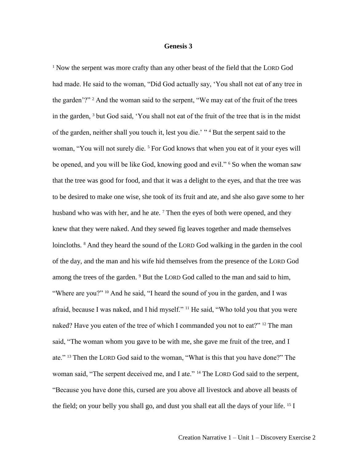#### **Genesis 3**

<sup>1</sup> Now the serpent was more crafty than any other beast of the field that the LORD God had made. He said to the woman, "Did God actually say, 'You shall not eat of any tree in the garden'?" <sup>2</sup> And the woman said to the serpent, "We may eat of the fruit of the trees in the garden, <sup>3</sup> but God said, 'You shall not eat of the fruit of the tree that is in the midst of the garden, neither shall you touch it, lest you die.' " <sup>4</sup> But the serpent said to the woman, "You will not surely die.<sup>5</sup> For God knows that when you eat of it your eyes will be opened, and you will be like God, knowing good and evil." <sup>6</sup> So when the woman saw that the tree was good for food, and that it was a delight to the eyes, and that the tree was to be desired to make one wise, she took of its fruit and ate, and she also gave some to her husband who was with her, and he ate.<sup>7</sup> Then the eyes of both were opened, and they knew that they were naked. And they sewed fig leaves together and made themselves loincloths. <sup>8</sup> And they heard the sound of the LORD God walking in the garden in the cool of the day, and the man and his wife hid themselves from the presence of the LORD God among the trees of the garden. <sup>9</sup> But the LORD God called to the man and said to him, "Where are you?" <sup>10</sup> And he said, "I heard the sound of you in the garden, and I was afraid, because I was naked, and I hid myself." <sup>11</sup> He said, "Who told you that you were naked? Have you eaten of the tree of which I commanded you not to eat?" <sup>12</sup> The man said, "The woman whom you gave to be with me, she gave me fruit of the tree, and I ate." <sup>13</sup> Then the LORD God said to the woman, "What is this that you have done?" The woman said, "The serpent deceived me, and I ate." <sup>14</sup> The LORD God said to the serpent, "Because you have done this, cursed are you above all livestock and above all beasts of the field; on your belly you shall go, and dust you shall eat all the days of your life. <sup>15</sup> I